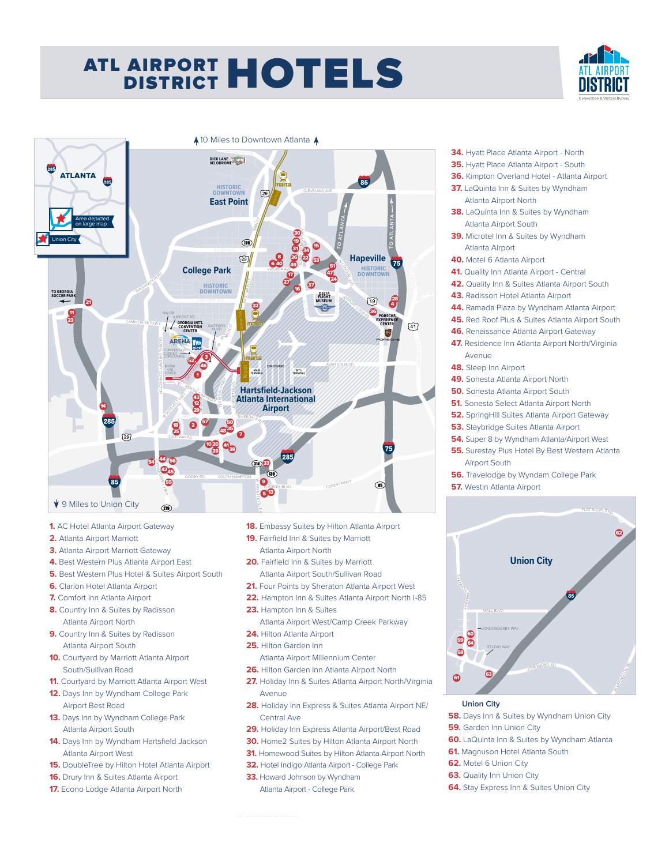## ATL AIRPORT HOTELS ATL AIRPORT HOTELS **DISTRICT**





- **1.** AC Hotel Atlanta Airport Gateway
- **2.** Atlanta Airport Marriott
- **3.** Atlanta Airport Marriott Gateway
- **4.** Best Western Plus Atlanta Airport East
- **5.** Best Western Plus Hotel & Suites Airport South
- **6.** Clarion Hotel Atlanta Airport
- **7.** Comfort Inn Atlanta Airport
- **8.** Country Inn & Suites by Radisson Atlanta Airport North
- **9.** Country Inn & Suites by Radisson Atlanta Airport South
- **10.** Courtyard by Marriott Atlanta Airport South/Sullivan Road
- **11.** Courtyard by Marriott Atlanta Airport West
- **12.** Days Inn by Wyndham College Park Airport Best Road
- **13.** Days Inn by Wyndham College Park Atlanta Airport South
- **14.** Days Inn by Wyndham Hartsfield Jackson Atlanta Airport West
- **15.** DoubleTree by Hilton Hotel Atlanta Airport
- **16.** Drury Inn & Suites Atlanta Airport
- **17.** Econo Lodge Atlanta Airport North
- 18. Embassy Suites by Hilton Atlanta Airport
- **19.** Fairfield Inn & Suites by Marriott Atlanta Airport North
- **20.** Fairfield Inn & Suites by Marriott Atlanta Airport South/Sullivan Road
- 21. Four Points by Sheraton Atlanta Airport West
- **22.** Hampton Inn & Suites Atlanta Airport North I-85
- **23.** Hampton Inn & Suites
- Atlanta Airport West/Camp Creek Parkway
- **24.** Hilton Atlanta Airport
- **25.** Hilton Garden Inn Atlanta Airport Millennium Center
- **26.** Hilton Garden Inn Atlanta Airport North
- **27.** Holiday Inn & Suites Atlanta Airport North/Virginia Avenue
- **28.** Holiday Inn Express & Suites Atlanta Airport NE/ Central Ave
- **29.** Holiday Inn Express Atlanta Airport/Best Road
- **30.** Home2 Suites by Hilton Atlanta Airport North
- **31.** Homewood Suites by Hilton Atlanta Airport North
- **32.** Hotel Indigo Atlanta Airport College Park
- **33.** Howard Johnson by Wyndham
	- Atlanta Airport College Park



- **56.** Travelodge by Wyndam College Park
- **57.** Westin Atlanta Airport



## **Union City**

- **58.** Days Inn & Suites by Wyndham Union City
- **59.** Garden Inn Union City
- **60.** LaQuinta Inn & Suites by Wyndham Atlanta
- **61.** Magnuson Hotel Atlanta South
- **62.** Motel 6 Union City
- **63.** Quality Inn Union City
- **64.** Stay Express Inn & Suites Union City